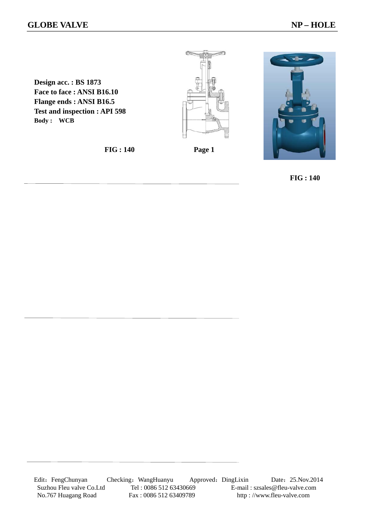**Design acc. : BS 1873 Face to face : ANSI B16.10 Flange ends : ANSI B16.5 Test and inspection : API 598 Body : WCB** 

 **FIG : 140 Page 1** 



 **FIG : 140**